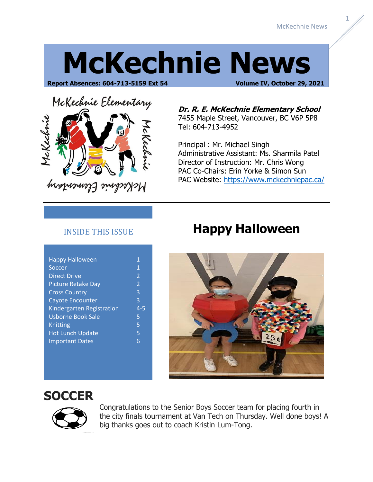1

# **McKechnie News**

**Report Absences: 604-713-5159 Ext 54 Volume IV, October 29, 2021**



**Dr. R. E. McKechnie Elementary School** 7455 Maple Street, Vancouver, BC V6P 5P8 Tel: 604-713-4952

Principal : Mr. Michael Singh Administrative Assistant: Ms. Sharmila Patel Director of Instruction: Mr. Chris Wong PAC Co-Chairs: Erin Yorke & Simon Sun PAC Website:<https://www.mckechniepac.ca/>

### INSIDE THIS ISSUE

| <b>Happy Halloween</b>    | 1                        |
|---------------------------|--------------------------|
| Soccer                    | $\mathbf{1}$             |
| <b>Direct Drive</b>       | $\overline{2}$           |
| <b>Picture Retake Day</b> | $\overline{\phantom{a}}$ |
| <b>Cross Country</b>      | 3                        |
| Cayote Encounter          | 3                        |
| Kindergarten Registration | $4 - 5$                  |
| <b>Usborne Book Sale</b>  | 5                        |
| Knitting                  | 5                        |
| <b>Hot Lunch Update</b>   | 5                        |
| <b>Important Dates</b>    | հ                        |
|                           |                          |

### **Happy Halloween**



### **SOCCER**



Congratulations to the Senior Boys Soccer team for placing fourth in the city finals tournament at Van Tech on Thursday. Well done boys! A big thanks goes out to coach Kristin Lum-Tong.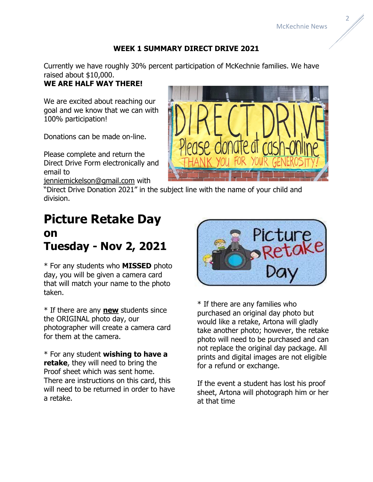### **WEEK 1 SUMMARY DIRECT DRIVE 2021**

Currently we have roughly 30% percent participation of McKechnie families. We have raised about \$10,000.

#### **WE ARE HALF WAY THERE!**

We are excited about reaching our goal and we know that we can with 100% participation!

Donations can be made on-line.

Please complete and return the Direct Drive Form electronically and email to

[jenniemickelson@gmail.com](mailto:jenniemickelson@gmail.com) with

"Direct Drive Donation 2021" in the subject line with the name of your child and division.

### **Picture Retake Day on Tuesday - Nov 2, 2021**

\* For any students who **MISSED** photo day, you will be given a camera card that will match your name to the photo taken.

\* If there are any **new** students since the ORIGINAL photo day, our photographer will create a camera card for them at the camera.

\* For any student **wishing to have a retake**, they will need to bring the Proof sheet which was sent home. There are instructions on this card, this will need to be returned in order to have a retake.



\* If there are any families who purchased an original day photo but would like a retake, Artona will gladly take another photo; however, the retake photo will need to be purchased and can not replace the original day package. All prints and digital images are not eligible for a refund or exchange.

If the event a student has lost his proof sheet, Artona will photograph him or her at that time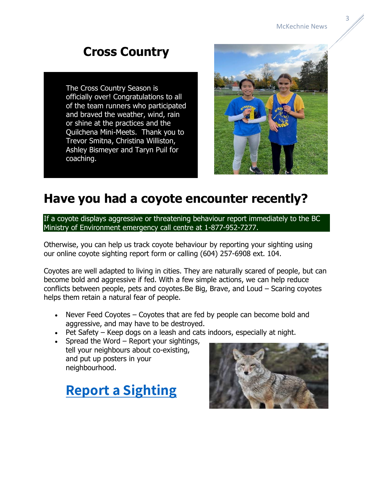### **Cross Country**

The Cross Country Season is officially over! Congratulations to all of the team runners who participated and braved the weather, wind, rain or shine at the practices and the Quilchena Mini-Meets. Thank you to Trevor Smitna, Christina Williston, Ashley Bismeyer and Taryn Puil for coaching.



### **Have you had a coyote encounter recently?**

If a coyote displays aggressive or threatening behaviour report immediately to the BC Ministry of Environment emergency call centre at 1-877-952-7277.

Otherwise, you can help us track coyote behaviour by reporting your sighting using our [online coyote sighting report form](https://stanleyparkecology.ca/ecology/co-existing-with-coyotes/report-a-sighting/) or calling (604) 257-6908 ext. 104.

Coyotes are well adapted to living in cities. They are naturally scared of people, but can become bold and aggressive if fed. With a few [simple actions,](https://stanleyparkecology.ca/ecology/co-existing-with-coyotes/how-to-co-exist-with-coyotes/) we can help reduce conflicts between people, pets and coyotes.Be Big, Brave, and Loud – Scaring coyotes helps them retain a natural fear of people.

- Never Feed Coyotes Coyotes that are fed by people can become bold and aggressive, and may have to be destroyed.
- Pet Safety Keep dogs on a leash and cats indoors, especially at night.
- Spread the Word [Report](https://stanleyparkecology.ca/ecology/co-existing-with-coyotes/report-a-sighting/) your sightings, tell your neighbours about co-existing, and put up posters in your neighbourhood.



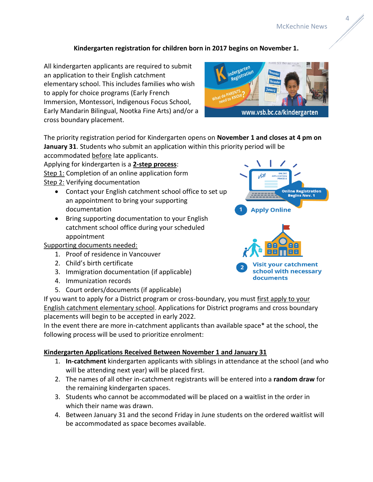#### **Kindergarten registration for children born in 2017 begins on November 1.**

All kindergarten applicants are required to submit an application to their English catchment elementary school. This includes families who wish to apply for choice programs (Early French Immersion, Montessori, Indigenous Focus School, Early Mandarin Bilingual, Nootka Fine Arts) and/or a cross boundary placement.



The priority registration period for Kindergarten opens on **November 1 and closes at 4 pm on January 31**. Students who submit an application within this priority period will be

accommodated before late applicants. Applying for kindergarten is a **2-step process**: Step 1: Completion of an online application form Step 2: Verifying documentation

- Contact your English catchment school office to set up an appointment to bring your supporting documentation
- Bring supporting documentation to your English catchment school office during your scheduled appointment

#### Supporting documents needed:

- 1. Proof of residence in Vancouver
- 2. Child's birth certificate
- 3. Immigration documentation (if applicable)
- 4. Immunization records
- 5. Court orders/documents (if applicable)

If you want to apply for a District program or cross-boundary, you must first apply to your English catchment elementary school. Applications for District programs and cross boundary placements will begin to be accepted in early 2022.

In the event there are more in-catchment applicants than available space\* at the school, the following process will be used to prioritize enrolment:

#### **Kindergarten Applications Received Between November 1 and January 31**

- 1. **In-catchment** kindergarten applicants with siblings in attendance at the school (and who will be attending next year) will be placed first.
- 2. The names of all other in-catchment registrants will be entered into a **random draw** for the remaining kindergarten spaces.
- 3. Students who cannot be accommodated will be placed on a waitlist in the order in which their name was drawn.
- 4. Between January 31 and the second Friday in June students on the ordered waitlist will be accommodated as space becomes available.

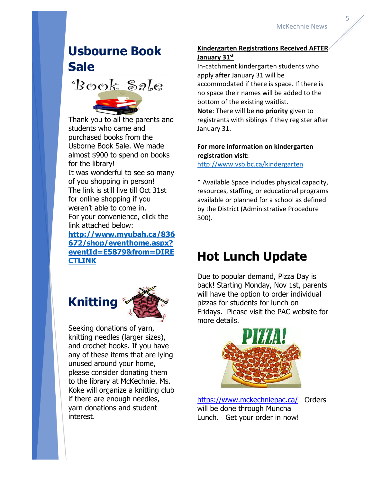## **Usbourne Book Sale**

Book Sale

Thank you to all the parents and students who came and purchased books from the Usborne Book Sale. We made almost \$900 to spend on books for the library! It was wonderful to see so many of you shopping in person! The link is still live till Oct 31st for online shopping if you weren't able to come in. For your convenience, click the link attached below:

**[http://www.myubah.ca/836](http://www.myubah.ca/836672/shop/eventhome.aspx?eventId=E5879&from=DIRECTLINK) [672/shop/eventhome.aspx?](http://www.myubah.ca/836672/shop/eventhome.aspx?eventId=E5879&from=DIRECTLINK) [eventId=E5879&from=DIRE](http://www.myubah.ca/836672/shop/eventhome.aspx?eventId=E5879&from=DIRECTLINK) [CTLINK](http://www.myubah.ca/836672/shop/eventhome.aspx?eventId=E5879&from=DIRECTLINK)**



Seeking donations of yarn, knitting needles (larger sizes), and crochet hooks. If you have any of these items that are lying unused around your home, please consider donating them to the library at McKechnie. Ms. Koke will organize a knitting club if there are enough needles, yarn donations and student interest.

### **Kindergarten Registrations Received AFTER January 31st**

In-catchment kindergarten students who apply **after** January 31 will be accommodated if there is space. If there is no space their names will be added to the bottom of the existing waitlist. **Note**: There will be **no priority** given to

registrants with siblings if they register after January 31.

### **For more information on kindergarten registration visit:**

<http://www.vsb.bc.ca/kindergarten>

\* Available Space includes physical capacity, resources, staffing, or educational programs available or planned for a school as defined by the District (Administrative Procedure 300).

### **Hot Lunch Update**

Due to popular demand, Pizza Day is back! Starting Monday, Nov 1st, parents will have the option to order individual pizzas for students for lunch on Fridays. Please visit the PAC website for more details.



<https://www.mckechniepac.ca/>Orders will be done through Muncha Lunch. Get your order in now!